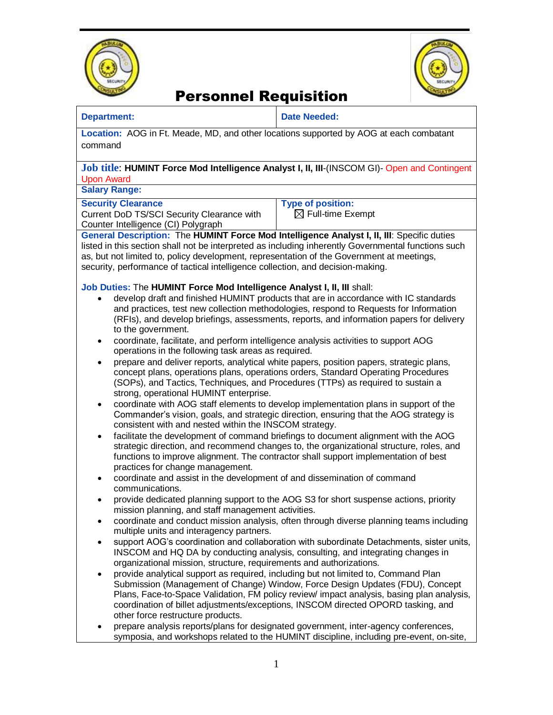



#### **Department: Date Needed:**

**Location:** AOG in Ft. Meade, MD, and other locations supported by AOG at each combatant command

#### **Job title**: **HUMINT Force Mod Intelligence Analyst I, II, III**-(INSCOM GI)- Open and Contingent Upon Award

**Salary Range:** 

#### **Security Clearance**

Current DoD TS/SCI Security Clearance with Counter Intelligence (CI) Polygraph

**Type of position:**   $\boxtimes$  Full-time Exempt

**General Description:** The **HUMINT Force Mod Intelligence Analyst I, II, III**: Specific duties listed in this section shall not be interpreted as including inherently Governmental functions such as, but not limited to, policy development, representation of the Government at meetings, security, performance of tactical intelligence collection, and decision-making.

### **Job Duties:** The **HUMINT Force Mod Intelligence Analyst I, II, III** shall:

- develop draft and finished HUMINT products that are in accordance with IC standards and practices, test new collection methodologies, respond to Requests for Information (RFIs), and develop briefings, assessments, reports, and information papers for delivery to the government.
- coordinate, facilitate, and perform intelligence analysis activities to support AOG operations in the following task areas as required.
- prepare and deliver reports, analytical white papers, position papers, strategic plans, concept plans, operations plans, operations orders, Standard Operating Procedures (SOPs), and Tactics, Techniques, and Procedures (TTPs) as required to sustain a strong, operational HUMINT enterprise.
- coordinate with AOG staff elements to develop implementation plans in support of the Commander's vision, goals, and strategic direction, ensuring that the AOG strategy is consistent with and nested within the INSCOM strategy.
- facilitate the development of command briefings to document alignment with the AOG strategic direction, and recommend changes to, the organizational structure, roles, and functions to improve alignment. The contractor shall support implementation of best practices for change management.
- coordinate and assist in the development of and dissemination of command communications.
- provide dedicated planning support to the AOG S3 for short suspense actions, priority mission planning, and staff management activities.
- coordinate and conduct mission analysis, often through diverse planning teams including multiple units and interagency partners.
- support AOG's coordination and collaboration with subordinate Detachments, sister units, INSCOM and HQ DA by conducting analysis, consulting, and integrating changes in organizational mission, structure, requirements and authorizations.
- provide analytical support as required, including but not limited to, Command Plan Submission (Management of Change) Window, Force Design Updates (FDU), Concept Plans, Face-to-Space Validation, FM policy review/ impact analysis, basing plan analysis, coordination of billet adjustments/exceptions, INSCOM directed OPORD tasking, and other force restructure products.
- prepare analysis reports/plans for designated government, inter-agency conferences, symposia, and workshops related to the HUMINT discipline, including pre-event, on-site,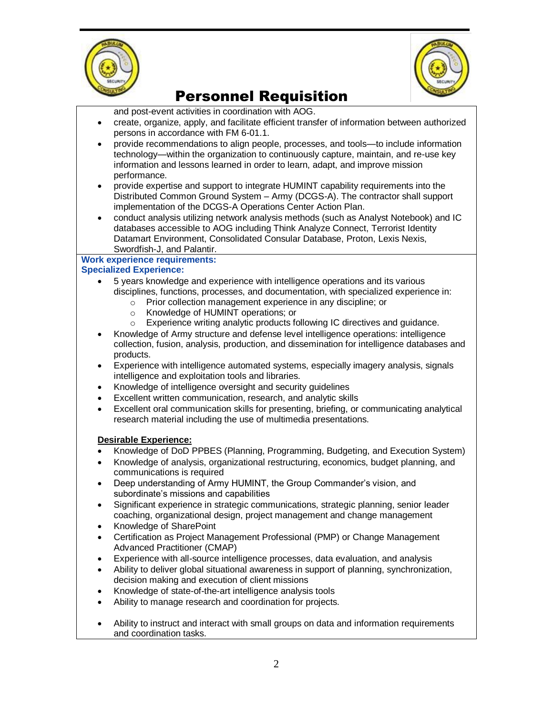



and post-event activities in coordination with AOG.

- create, organize, apply, and facilitate efficient transfer of information between authorized persons in accordance with FM 6-01.1.
- provide recommendations to align people, processes, and tools—to include information technology—within the organization to continuously capture, maintain, and re-use key information and lessons learned in order to learn, adapt, and improve mission performance.
- provide expertise and support to integrate HUMINT capability requirements into the Distributed Common Ground System – Army (DCGS-A). The contractor shall support implementation of the DCGS-A Operations Center Action Plan.
- conduct analysis utilizing network analysis methods (such as Analyst Notebook) and IC databases accessible to AOG including Think Analyze Connect, Terrorist Identity Datamart Environment, Consolidated Consular Database, Proton, Lexis Nexis, Swordfish-J, and Palantir.

# **Work experience requirements:**

- **Specialized Experience:**
	- 5 years knowledge and experience with intelligence operations and its various disciplines, functions, processes, and documentation, with specialized experience in:
		- o Prior collection management experience in any discipline; or
		- o Knowledge of HUMINT operations; or
		- o Experience writing analytic products following IC directives and guidance.
	- Knowledge of Army structure and defense level intelligence operations: intelligence collection, fusion, analysis, production, and dissemination for intelligence databases and products.
	- Experience with intelligence automated systems, especially imagery analysis, signals intelligence and exploitation tools and libraries.
	- Knowledge of intelligence oversight and security guidelines
	- Excellent written communication, research, and analytic skills
	- Excellent oral communication skills for presenting, briefing, or communicating analytical research material including the use of multimedia presentations.

### **Desirable Experience:**

- Knowledge of DoD PPBES (Planning, Programming, Budgeting, and Execution System)
- Knowledge of analysis, organizational restructuring, economics, budget planning, and communications is required
- Deep understanding of Army HUMINT, the Group Commander's vision, and subordinate's missions and capabilities
- Significant experience in strategic communications, strategic planning, senior leader coaching, organizational design, project management and change management
- Knowledge of SharePoint
- Certification as Project Management Professional (PMP) or Change Management Advanced Practitioner (CMAP)
- Experience with all-source intelligence processes, data evaluation, and analysis
- Ability to deliver global situational awareness in support of planning, synchronization, decision making and execution of client missions
- Knowledge of state-of-the-art intelligence analysis tools
- Ability to manage research and coordination for projects.
- Ability to instruct and interact with small groups on data and information requirements and coordination tasks.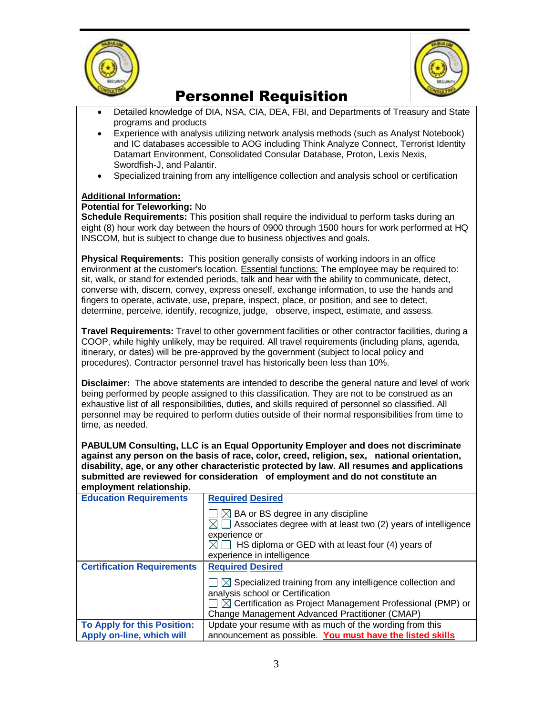



- Detailed knowledge of DIA, NSA, CIA, DEA, FBI, and Departments of Treasury and State programs and products
- Experience with analysis utilizing network analysis methods (such as Analyst Notebook) and IC databases accessible to AOG including Think Analyze Connect, Terrorist Identity Datamart Environment, Consolidated Consular Database, Proton, Lexis Nexis, Swordfish-J, and Palantir.
- Specialized training from any intelligence collection and analysis school or certification

### **Additional Information:**

### **Potential for Teleworking:** No

**Schedule Requirements:** This position shall require the individual to perform tasks during an eight (8) hour work day between the hours of 0900 through 1500 hours for work performed at HQ INSCOM, but is subject to change due to business objectives and goals.

**Physical Requirements:** This position generally consists of working indoors in an office environment at the customer's location. Essential functions: The employee may be required to: sit, walk, or stand for extended periods, talk and hear with the ability to communicate, detect, converse with, discern, convey, express oneself, exchange information, to use the hands and fingers to operate, activate, use, prepare, inspect, place, or position, and see to detect, determine, perceive, identify, recognize, judge, observe, inspect, estimate, and assess.

**Travel Requirements:** Travel to other government facilities or other contractor facilities, during a COOP, while highly unlikely, may be required. All travel requirements (including plans, agenda, itinerary, or dates) will be pre-approved by the government (subject to local policy and procedures). Contractor personnel travel has historically been less than 10%.

**Disclaimer:** The above statements are intended to describe the general nature and level of work being performed by people assigned to this classification. They are not to be construed as an exhaustive list of all responsibilities, duties, and skills required of personnel so classified. All personnel may be required to perform duties outside of their normal responsibilities from time to time, as needed.

**PABULUM Consulting, LLC is an Equal Opportunity Employer and does not discriminate against any person on the basis of race, color, creed, religion, sex, national orientation, disability, age, or any other characteristic protected by law. All resumes and applications submitted are reviewed for consideration of employment and do not constitute an employment relationship.**

| <b>Education Requirements</b>      | <b>Required Desired</b>                                                                                                                                                                                                                                      |
|------------------------------------|--------------------------------------------------------------------------------------------------------------------------------------------------------------------------------------------------------------------------------------------------------------|
|                                    | $\Box\boxtimes$ BA or BS degree in any discipline<br>$\boxtimes$ $\Box$ Associates degree with at least two (2) years of intelligence<br>experience or<br>$\boxtimes$ $\Box$ HS diploma or GED with at least four (4) years of<br>experience in intelligence |
| <b>Certification Requirements</b>  | <b>Required Desired</b>                                                                                                                                                                                                                                      |
|                                    | $\Box$ $\boxtimes$ Specialized training from any intelligence collection and<br>analysis school or Certification<br>$\Box\boxtimes$ Certification as Project Management Professional (PMP) or<br>Change Management Advanced Practitioner (CMAP)              |
| <b>To Apply for this Position:</b> | Update your resume with as much of the wording from this                                                                                                                                                                                                     |
| Apply on-line, which will          | announcement as possible. You must have the listed skills                                                                                                                                                                                                    |